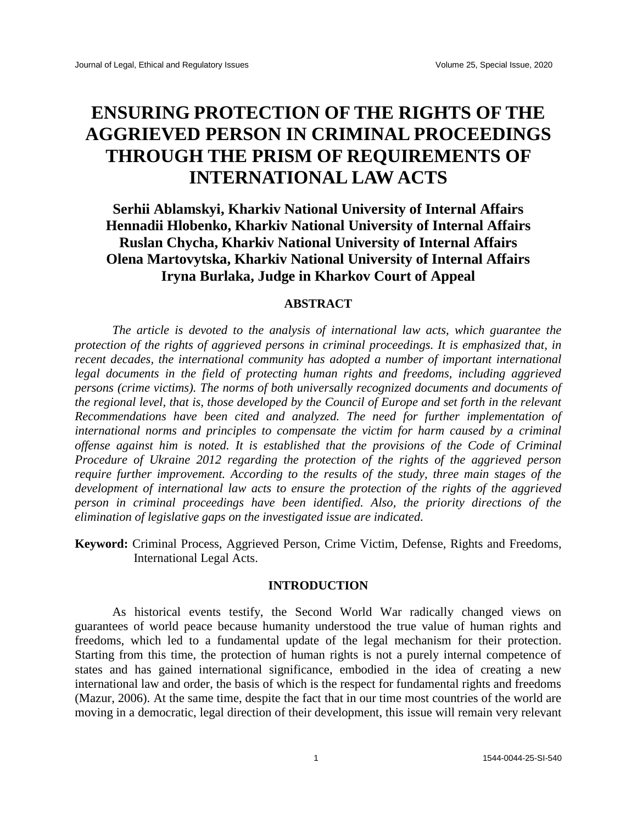# **ENSURING PROTECTION OF THE RIGHTS OF THE AGGRIEVED PERSON IN CRIMINAL PROCEEDINGS THROUGH THE PRISM OF REQUIREMENTS OF INTERNATIONAL LAW ACTS**

# **Serhii Ablamskyi, Kharkiv National University of Internal Affairs Hennadii Hlobenko, Kharkiv National University of Internal Affairs Ruslan Chycha, Kharkiv National University of Internal Affairs Olena Martovytska, Kharkiv National University of Internal Affairs Iryna Burlaka, Judge in Kharkov Court of Appeal**

# **ABSTRACT**

*The article is devoted to the analysis of international law acts, which guarantee the protection of the rights of aggrieved persons in criminal proceedings. It is emphasized that, in recent decades, the international community has adopted a number of important international legal documents in the field of protecting human rights and freedoms, including aggrieved persons (crime victims). The norms of both universally recognized documents and documents of the regional level, that is, those developed by the Council of Europe and set forth in the relevant Recommendations have been cited and analyzed. The need for further implementation of international norms and principles to compensate the victim for harm caused by a criminal offense against him is noted. It is established that the provisions of the Code of Criminal Procedure of Ukraine 2012 regarding the protection of the rights of the aggrieved person require further improvement. According to the results of the study, three main stages of the development of international law acts to ensure the protection of the rights of the aggrieved person in criminal proceedings have been identified. Also, the priority directions of the elimination of legislative gaps on the investigated issue are indicated.*

**Keyword:** Criminal Process, Aggrieved Person, Crime Victim, Defense, Rights and Freedoms, International Legal Acts.

### **INTRODUCTION**

As historical events testify, the Second World War radically changed views on guarantees of world peace because humanity understood the true value of human rights and freedoms, which led to a fundamental update of the legal mechanism for their protection. Starting from this time, the protection of human rights is not a purely internal competence of states and has gained international significance, embodied in the idea of creating a new international law and order, the basis of which is the respect for fundamental rights and freedoms (Mazur, 2006). At the same time, despite the fact that in our time most countries of the world are moving in a democratic, legal direction of their development, this issue will remain very relevant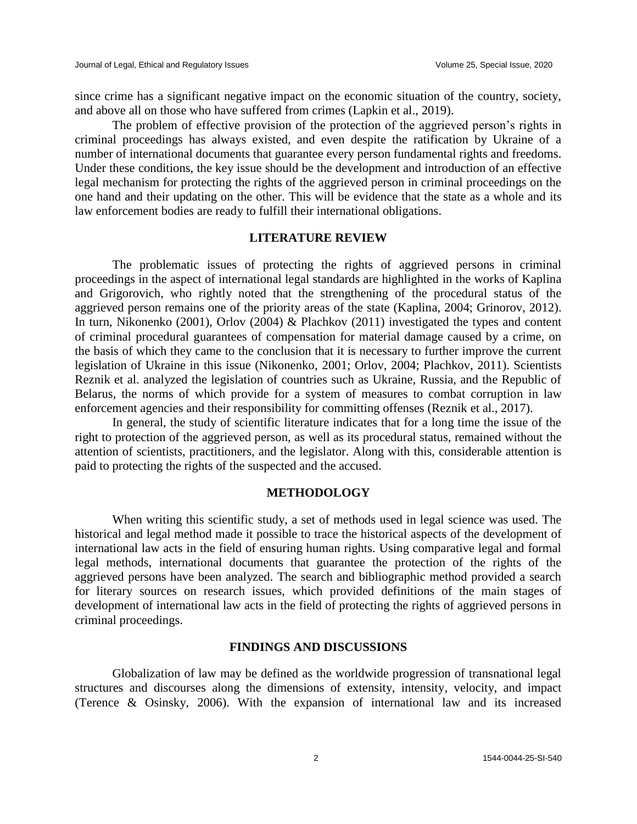since crime has a significant negative impact on the economic situation of the country, society, and above all on those who have suffered from crimes (Lapkin et al., 2019).

The problem of effective provision of the protection of the aggrieved person's rights in criminal proceedings has always existed, and even despite the ratification by Ukraine of a number of international documents that guarantee every person fundamental rights and freedoms. Under these conditions, the key issue should be the development and introduction of an effective legal mechanism for protecting the rights of the aggrieved person in criminal proceedings on the one hand and their updating on the other. This will be evidence that the state as a whole and its law enforcement bodies are ready to fulfill their international obligations.

## **LITERATURE REVIEW**

The problematic issues of protecting the rights of aggrieved persons in criminal proceedings in the aspect of international legal standards are highlighted in the works of Kaplina and Grigorovich, who rightly noted that the strengthening of the procedural status of the aggrieved person remains one of the priority areas of the state (Kaplina, 2004; Grinorov, 2012). In turn, Nikonenko (2001), Orlov (2004) & Plachkov (2011) investigated the types and content of criminal procedural guarantees of compensation for material damage caused by a crime, on the basis of which they came to the conclusion that it is necessary to further improve the current legislation of Ukraine in this issue (Nikonenko, 2001; Orlov, 2004; Plachkov, 2011). Scientists Reznik et al. analyzed the legislation of countries such as Ukraine, Russia, and the Republic of Belarus, the norms of which provide for a system of measures to combat corruption in law enforcement agencies and their responsibility for committing offenses (Reznik et al., 2017).

In general, the study of scientific literature indicates that for a long time the issue of the right to protection of the aggrieved person, as well as its procedural status, remained without the attention of scientists, practitioners, and the legislator. Along with this, considerable attention is paid to protecting the rights of the suspected and the accused.

#### **METHODOLOGY**

When writing this scientific study, a set of methods used in legal science was used. The historical and legal method made it possible to trace the historical aspects of the development of international law acts in the field of ensuring human rights. Using comparative legal and formal legal methods, international documents that guarantee the protection of the rights of the aggrieved persons have been analyzed. The search and bibliographic method provided a search for literary sources on research issues, which provided definitions of the main stages of development of international law acts in the field of protecting the rights of aggrieved persons in criminal proceedings.

### **FINDINGS AND DISCUSSIONS**

Globalization of law may be defined as the worldwide progression of transnational legal structures and discourses along the dimensions of extensity, intensity, velocity, and impact (Terence & Osinsky, 2006). With the expansion of international law and its increased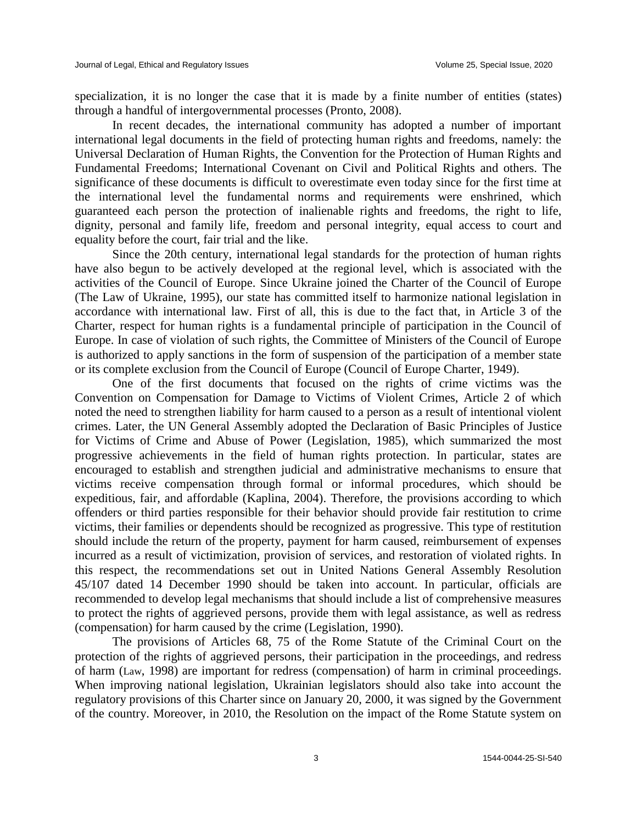specialization, it is no longer the case that it is made by a finite number of entities (states) through a handful of intergovernmental processes (Pronto, 2008).

In recent decades, the international community has adopted a number of important international legal documents in the field of protecting human rights and freedoms, namely: the Universal Declaration of Human Rights, the Convention for the Protection of Human Rights and Fundamental Freedoms; International Covenant on Civil and Political Rights and others. The significance of these documents is difficult to overestimate even today since for the first time at the international level the fundamental norms and requirements were enshrined, which guaranteed each person the protection of inalienable rights and freedoms, the right to life, dignity, personal and family life, freedom and personal integrity, equal access to court and equality before the court, fair trial and the like.

Since the 20th century, international legal standards for the protection of human rights have also begun to be actively developed at the regional level, which is associated with the activities of the Council of Europe. Since Ukraine joined the Charter of the Council of Europe (The Law of Ukraine, 1995), our state has committed itself to harmonize national legislation in accordance with international law. First of all, this is due to the fact that, in Article 3 of the Charter, respect for human rights is a fundamental principle of participation in the Council of Europe. In case of violation of such rights, the Committee of Ministers of the Council of Europe is authorized to apply sanctions in the form of suspension of the participation of a member state or its complete exclusion from the Council of Europe (Council of Europe Charter, 1949).

One of the first documents that focused on the rights of crime victims was the Convention on Compensation for Damage to Victims of Violent Crimes, Article 2 of which noted the need to strengthen liability for harm caused to a person as a result of intentional violent crimes. Later, the UN General Assembly adopted the Declaration of Basic Principles of Justice for Victims of Crime and Abuse of Power (Legislation, 1985), which summarized the most progressive achievements in the field of human rights protection. In particular, states are encouraged to establish and strengthen judicial and administrative mechanisms to ensure that victims receive compensation through formal or informal procedures, which should be expeditious, fair, and affordable (Kaplina, 2004). Therefore, the provisions according to which offenders or third parties responsible for their behavior should provide fair restitution to crime victims, their families or dependents should be recognized as progressive. This type of restitution should include the return of the property, payment for harm caused, reimbursement of expenses incurred as a result of victimization, provision of services, and restoration of violated rights. In this respect, the recommendations set out in United Nations General Assembly Resolution 45/107 dated 14 December 1990 should be taken into account. In particular, officials are recommended to develop legal mechanisms that should include a list of comprehensive measures to protect the rights of aggrieved persons, provide them with legal assistance, as well as redress (compensation) for harm caused by the crime (Legislation, 1990).

The provisions of Articles 68, 75 of the Rome Statute of the Criminal Court on the protection of the rights of aggrieved persons, their participation in the proceedings, and redress of harm (Law, 1998) are important for redress (compensation) of harm in criminal proceedings. When improving national legislation, Ukrainian legislators should also take into account the regulatory provisions of this Charter since on January 20, 2000, it was signed by the Government of the country. Moreover, in 2010, the Resolution on the impact of the Rome Statute system on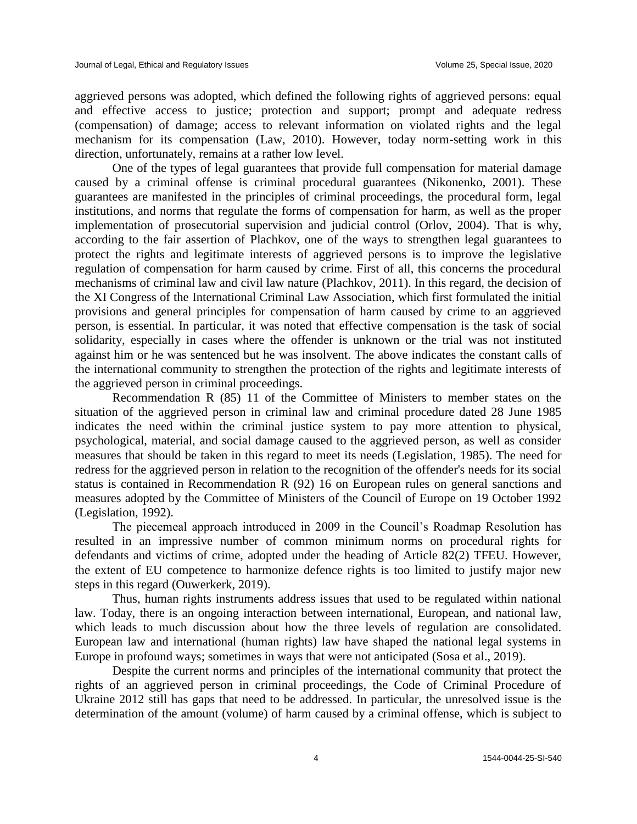aggrieved persons was adopted, which defined the following rights of aggrieved persons: equal and effective access to justice; protection and support; prompt and adequate redress (compensation) of damage; access to relevant information on violated rights and the legal mechanism for its compensation (Law, 2010). However, today norm-setting work in this direction, unfortunately, remains at a rather low level.

One of the types of legal guarantees that provide full compensation for material damage caused by a criminal offense is criminal procedural guarantees (Nikonenko, 2001). These guarantees are manifested in the principles of criminal proceedings, the procedural form, legal institutions, and norms that regulate the forms of compensation for harm, as well as the proper implementation of prosecutorial supervision and judicial control (Orlov, 2004). That is why, according to the fair assertion of Plachkov, one of the ways to strengthen legal guarantees to protect the rights and legitimate interests of aggrieved persons is to improve the legislative regulation of compensation for harm caused by crime. First of all, this concerns the procedural mechanisms of criminal law and civil law nature (Plachkov, 2011). In this regard, the decision of the XI Congress of the International Criminal Law Association, which first formulated the initial provisions and general principles for compensation of harm caused by crime to an aggrieved person, is essential. In particular, it was noted that effective compensation is the task of social solidarity, especially in cases where the offender is unknown or the trial was not instituted against him or he was sentenced but he was insolvent. The above indicates the constant calls of the international community to strengthen the protection of the rights and legitimate interests of the aggrieved person in criminal proceedings.

Recommendation R (85) 11 of the Committee of Ministers to member states on the situation of the aggrieved person in criminal law and criminal procedure dated 28 June 1985 indicates the need within the criminal justice system to pay more attention to physical, psychological, material, and social damage caused to the aggrieved person, as well as consider measures that should be taken in this regard to meet its needs (Legislation, 1985). The need for redress for the aggrieved person in relation to the recognition of the offender's needs for its social status is contained in Recommendation R (92) 16 on European rules on general sanctions and measures adopted by the Committee of Ministers of the Council of Europe on 19 October 1992 (Legislation, 1992).

The piecemeal approach introduced in 2009 in the Council's Roadmap Resolution has resulted in an impressive number of common minimum norms on procedural rights for defendants and victims of crime, adopted under the heading of Article 82(2) TFEU. However, the extent of EU competence to harmonize defence rights is too limited to justify major new steps in this regard (Ouwerkerk, 2019).

Thus, human rights instruments address issues that used to be regulated within national law. Today, there is an ongoing interaction between international, European, and national law, which leads to much discussion about how the three levels of regulation are consolidated. European law and international (human rights) law have shaped the national legal systems in Europe in profound ways; sometimes in ways that were not anticipated (Sosa et al., 2019).

Despite the current norms and principles of the international community that protect the rights of an aggrieved person in criminal proceedings, the Code of Criminal Procedure of Ukraine 2012 still has gaps that need to be addressed. In particular, the unresolved issue is the determination of the amount (volume) of harm caused by a criminal offense, which is subject to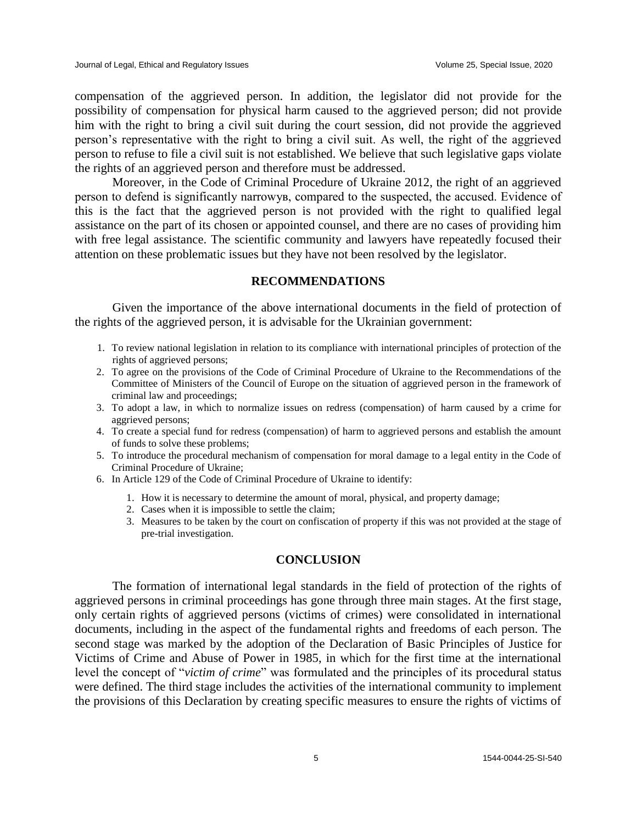compensation of the aggrieved person. In addition, the legislator did not provide for the possibility of compensation for physical harm caused to the aggrieved person; did not provide him with the right to bring a civil suit during the court session, did not provide the aggrieved person's representative with the right to bring a civil suit. As well, the right of the aggrieved person to refuse to file a civil suit is not established. We believe that such legislative gaps violate the rights of an aggrieved person and therefore must be addressed.

Moreover, in the Code of Criminal Procedure of Ukraine 2012, the right of an aggrieved person to defend is significantly narrowув, compared to the suspected, the accused. Evidence of this is the fact that the aggrieved person is not provided with the right to qualified legal assistance on the part of its chosen or appointed counsel, and there are no cases of providing him with free legal assistance. The scientific community and lawyers have repeatedly focused their attention on these problematic issues but they have not been resolved by the legislator.

# **RECOMMENDATIONS**

Given the importance of the above international documents in the field of protection of the rights of the aggrieved person, it is advisable for the Ukrainian government:

- 1. To review national legislation in relation to its compliance with international principles of protection of the rights of aggrieved persons;
- 2. To agree on the provisions of the Code of Criminal Procedure of Ukraine to the Recommendations of the Committee of Ministers of the Council of Europe on the situation of aggrieved person in the framework of criminal law and proceedings;
- 3. To adopt a law, in which to normalize issues on redress (compensation) of harm caused by a crime for aggrieved persons;
- 4. To create a special fund for redress (compensation) of harm to aggrieved persons and establish the amount of funds to solve these problems;
- 5. To introduce the procedural mechanism of compensation for moral damage to a legal entity in the Code of Criminal Procedure of Ukraine;
- 6. In Article 129 of the Code of Criminal Procedure of Ukraine to identify:
	- 1. How it is necessary to determine the amount of moral, physical, and property damage;
	- 2. Cases when it is impossible to settle the claim;
	- 3. Measures to be taken by the court on confiscation of property if this was not provided at the stage of pre-trial investigation.

#### **CONCLUSION**

The formation of international legal standards in the field of protection of the rights of aggrieved persons in criminal proceedings has gone through three main stages. At the first stage, only certain rights of aggrieved persons (victims of crimes) were consolidated in international documents, including in the aspect of the fundamental rights and freedoms of each person. The second stage was marked by the adoption of the Declaration of Basic Principles of Justice for Victims of Crime and Abuse of Power in 1985, in which for the first time at the international level the concept of "*victim of crime*" was formulated and the principles of its procedural status were defined. The third stage includes the activities of the international community to implement the provisions of this Declaration by creating specific measures to ensure the rights of victims of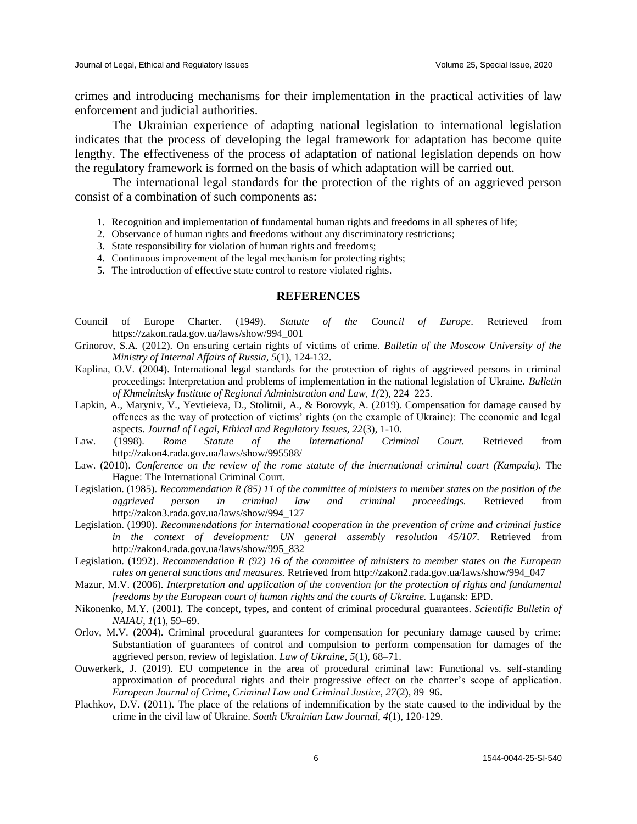crimes and introducing mechanisms for their implementation in the practical activities of law enforcement and judicial authorities.

The Ukrainian experience of adapting national legislation to international legislation indicates that the process of developing the legal framework for adaptation has become quite lengthy. The effectiveness of the process of adaptation of national legislation depends on how the regulatory framework is formed on the basis of which adaptation will be carried out.

The international legal standards for the protection of the rights of an aggrieved person consist of a combination of such components as:

- 1. Recognition and implementation of fundamental human rights and freedoms in all spheres of life;
- 2. Observance of human rights and freedoms without any discriminatory restrictions;
- 3. State responsibility for violation of human rights and freedoms;
- 4. Continuous improvement of the legal mechanism for protecting rights;
- 5. The introduction of effective state control to restore violated rights.

#### **REFERENCES**

- Council of Europe Charter. (1949). *Statute of the Council of Europe*. Retrieved from https://zakon.rada.gov.ua/laws/show/994\_001
- Grinorov, S.A. (2012). On ensuring certain rights of victims of crime. *Bulletin of the Moscow University of the Ministry of Internal Affairs of Russia, 5*(1), 124-132.
- Kaplina, O.V. (2004). International legal standards for the protection of rights of aggrieved persons in criminal proceedings: Interpretation and problems of implementation in the national legislation of Ukraine. *Bulletin of Khmelnitsky Institute of Regional Administration and Law, 1(*2), 224–225.
- Lapkin, A., Maryniv, V., Yevtieieva, D., Stolitnii, A., & Borovyk, A. (2019). Compensation for damage caused by offences as the way of protection of victims' rights (on the example of Ukraine): The economic and legal aspects. *Journal of Legal, Ethical and Regulatory Issues, 22(3), 1-10.*<br>(1998). Rome Statute of the International Crima
- Law. (1998). *Rome Statute of the International Criminal Court.* Retrieved from http://zakon4.rada.gov.ua/laws/show/995588/
- Law. (2010). *Conference on the review of the rome statute of the international criminal court (Kampala).* The Hague: The International Criminal Court.
- Legislation. (1985). *Recommendation R (85) 11 of the committee of ministers to member states on the position of the aggrieved person in criminal law and criminal proceedings.* Retrieved from http://zakon3.rada.gov.ua/laws/show/994\_127
- Legislation. (1990). *Recommendations for international cooperation in the prevention of crime and criminal justice in the context of development: UN general assembly resolution 45/107.* Retrieved from http://zakon4.rada.gov.ua/laws/show/995\_832
- Legislation. (1992). *Recommendation R (92) 16 of the committee of ministers to member states on the European rules on general sanctions and measures.* Retrieved from http://zakon2.rada.gov.ua/laws/show/994\_047
- Mazur, M.V. (2006). *Interpretation and application of the convention for the protection of rights and fundamental freedoms by the European court of human rights and the courts of Ukraine.* Lugansk: EPD.
- Nikonenko, M.Y. (2001). The concept, types, and content of criminal procedural guarantees. *Scientific Bulletin of NAIAU, 1*(1), 59–69.
- Orlov, M.V. (2004). Criminal procedural guarantees for compensation for pecuniary damage caused by crime: Substantiation of guarantees of control and compulsion to perform compensation for damages of the aggrieved person, review of legislation. *Law of Ukraine, 5*(1), 68–71.
- Ouwerkerk, J. (2019). EU competence in the area of procedural criminal law: Functional vs. self-standing approximation of procedural rights and their progressive effect on the charter's scope of application. *European Journal of Crime, Criminal Law and Criminal Justice, 27*(2), 89–96.
- Plachkov, D.V. (2011). The place of the relations of indemnification by the state caused to the individual by the crime in the civil law of Ukraine. *South Ukrainian Law Journal, 4*(1), 120-129.